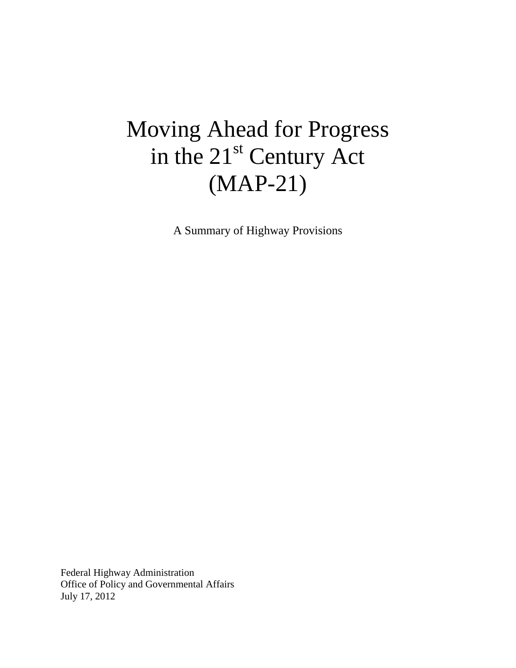# Moving Ahead for Progress in the 21<sup>st</sup> Century Act (MAP-21)

A Summary of Highway Provisions

Federal Highway Administration Office of Policy and Governmental Affairs July 17, 2012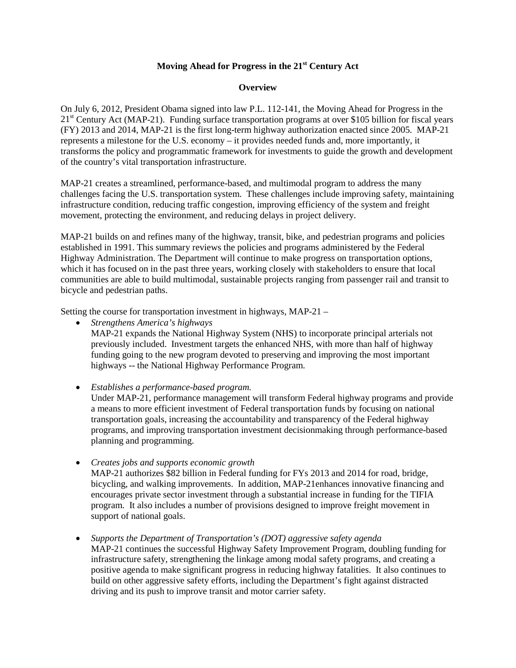## **Moving Ahead for Progress in the 21st Century Act**

#### **Overview**

On July 6, 2012, President Obama signed into law P.L. 112-141, the Moving Ahead for Progress in the 21<sup>st</sup> Century Act (MAP-21). Funding surface transportation programs at over \$105 billion for fiscal years (FY) 2013 and 2014, MAP-21 is the first long-term highway authorization enacted since 2005. MAP-21 represents a milestone for the U.S. economy *–* it provides needed funds and, more importantly, it transforms the policy and programmatic framework for investments to guide the growth and development of the country's vital transportation infrastructure.

MAP-21 creates a streamlined, performance-based, and multimodal program to address the many challenges facing the U.S. transportation system. These challenges include improving safety, maintaining infrastructure condition, reducing traffic congestion, improving efficiency of the system and freight movement, protecting the environment, and reducing delays in project delivery.

MAP-21 builds on and refines many of the highway, transit, bike, and pedestrian programs and policies established in 1991. This summary reviews the policies and programs administered by the Federal Highway Administration. The Department will continue to make progress on transportation options, which it has focused on in the past three years, working closely with stakeholders to ensure that local communities are able to build multimodal, sustainable projects ranging from passenger rail and transit to bicycle and pedestrian paths.

Setting the course for transportation investment in highways, MAP-21 *–*

• *Strengthens America's highways*

MAP-21 expands the National Highway System (NHS) to incorporate principal arterials not previously included. Investment targets the enhanced NHS, with more than half of highway funding going to the new program devoted to preserving and improving the most important highways -- the National Highway Performance Program.

• *Establishes a performance-based program.*

Under MAP-21, performance management will transform Federal highway programs and provide a means to more efficient investment of Federal transportation funds by focusing on national transportation goals, increasing the accountability and transparency of the Federal highway programs, and improving transportation investment decisionmaking through performance-based planning and programming.

• *Creates jobs and supports economic growth*

MAP-21 authorizes \$82 billion in Federal funding for FYs 2013 and 2014 for road, bridge, bicycling, and walking improvements. In addition, MAP-21enhances innovative financing and encourages private sector investment through a substantial increase in funding for the TIFIA program. It also includes a number of provisions designed to improve freight movement in support of national goals.

• *Supports the Department of Transportation's (DOT) aggressive safety agenda* MAP-21 continues the successful Highway Safety Improvement Program, doubling funding for infrastructure safety, strengthening the linkage among modal safety programs, and creating a positive agenda to make significant progress in reducing highway fatalities. It also continues to build on other aggressive safety efforts, including the Department's fight against distracted driving and its push to improve transit and motor carrier safety.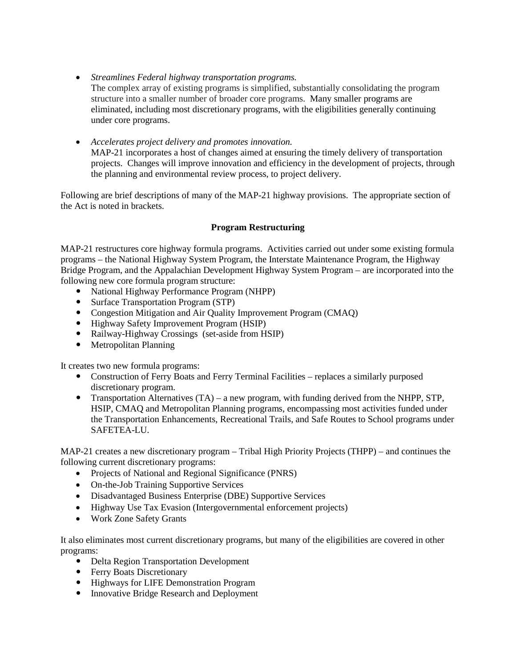- *Streamlines Federal highway transportation programs.* The complex array of existing programs is simplified, substantially consolidating the program structure into a smaller number of broader core programs. Many smaller programs are eliminated, including most discretionary programs, with the eligibilities generally continuing under core programs.
- *Accelerates project delivery and promotes innovation.* MAP-21 incorporates a host of changes aimed at ensuring the timely delivery of transportation projects. Changes will improve innovation and efficiency in the development of projects, through the planning and environmental review process, to project delivery.

Following are brief descriptions of many of the MAP-21 highway provisions. The appropriate section of the Act is noted in brackets.

## **Program Restructuring**

MAP-21 restructures core highway formula programs. Activities carried out under some existing formula programs – the National Highway System Program, the Interstate Maintenance Program, the Highway Bridge Program, and the Appalachian Development Highway System Program – are incorporated into the following new core formula program structure:

- National Highway Performance Program (NHPP)
- Surface Transportation Program (STP)
- Congestion Mitigation and Air Quality Improvement Program (CMAQ)
- Highway Safety Improvement Program (HSIP)
- Railway-Highway Crossings (set-aside from HSIP)
- Metropolitan Planning

It creates two new formula programs:

- Construction of Ferry Boats and Ferry Terminal Facilities replaces a similarly purposed discretionary program.
- Transportation Alternatives  $(TA)$  a new program, with funding derived from the NHPP, STP, HSIP, CMAQ and Metropolitan Planning programs, encompassing most activities funded under the Transportation Enhancements, Recreational Trails, and Safe Routes to School programs under SAFETEA-LU.

MAP-21 creates a new discretionary program – Tribal High Priority Projects (THPP) – and continues the following current discretionary programs:

- Projects of National and Regional Significance (PNRS)
- On-the-Job Training Supportive Services
- Disadvantaged Business Enterprise (DBE) Supportive Services
- Highway Use Tax Evasion (Intergovernmental enforcement projects)
- Work Zone Safety Grants

It also eliminates most current discretionary programs, but many of the eligibilities are covered in other programs:

- Delta Region Transportation Development
- Ferry Boats Discretionary
- Highways for LIFE Demonstration Program
- Innovative Bridge Research and Deployment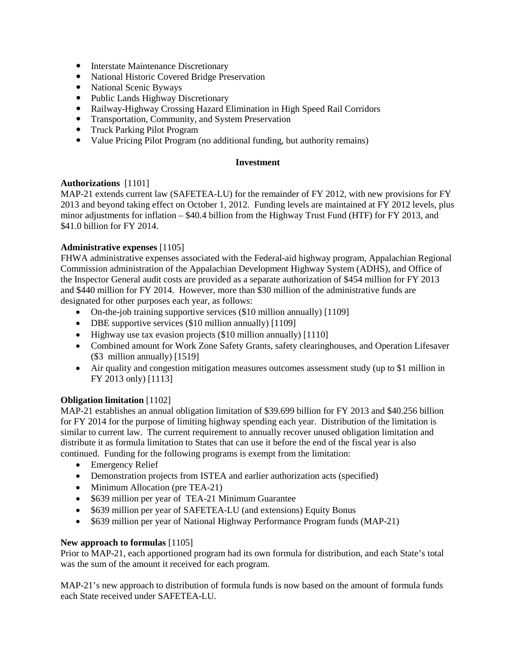- Interstate Maintenance Discretionary
- National Historic Covered Bridge Preservation
- National Scenic Byways
- Public Lands Highway Discretionary
- Railway-Highway Crossing Hazard Elimination in High Speed Rail Corridors
- Transportation, Community, and System Preservation
- Truck Parking Pilot Program
- Value Pricing Pilot Program (no additional funding, but authority remains)

### **Investment**

## **Authorizations** [1101]

MAP-21 extends current law (SAFETEA-LU) for the remainder of FY 2012, with new provisions for FY 2013 and beyond taking effect on October 1, 2012. Funding levels are maintained at  $\overline{PY}$  2012 levels, plus minor adjustments for inflation – \$40.4 billion from the Highway Trust Fund (HTF) for FY 2013, and \$41.0 billion for FY 2014.

## **Administrative expenses** [1105]

FHWA administrative expenses associated with the Federal-aid highway program, Appalachian Regional Commission administration of the Appalachian Development Highway System (ADHS), and Office of the Inspector General audit costs are provided as a separate authorization of \$454 million for FY 2013 and \$440 million for FY 2014. However, more than \$30 million of the administrative funds are designated for other purposes each year, as follows:

- On-the-job training supportive services (\$10 million annually) [1109]
- DBE supportive services (\$10 million annually) [1109]
- Highway use tax evasion projects (\$10 million annually) [1110]
- Combined amount for Work Zone Safety Grants, safety clearinghouses, and Operation Lifesaver (\$3 million annually) [1519]
- Air quality and congestion mitigation measures outcomes assessment study (up to \$1 million in FY 2013 only) [1113]

## **Obligation limitation** [1102]

MAP-21 establishes an annual obligation limitation of \$39.699 billion for FY 2013 and \$40.256 billion for FY 2014 for the purpose of limiting highway spending each year. Distribution of the limitation is similar to current law. The current requirement to annually recover unused obligation limitation and distribute it as formula limitation to States that can use it before the end of the fiscal year is also continued. Funding for the following programs is exempt from the limitation:

- Emergency Relief
- Demonstration projects from ISTEA and earlier authorization acts (specified)
- Minimum Allocation (pre TEA-21)
- \$639 million per year of TEA-21 Minimum Guarantee
- \$639 million per year of SAFETEA-LU (and extensions) Equity Bonus
- \$639 million per year of National Highway Performance Program funds (MAP-21)

## **New approach to formulas** [1105]

Prior to MAP-21, each apportioned program had its own formula for distribution, and each State's total was the sum of the amount it received for each program.

MAP-21's new approach to distribution of formula funds is now based on the amount of formula funds each State received under SAFETEA-LU.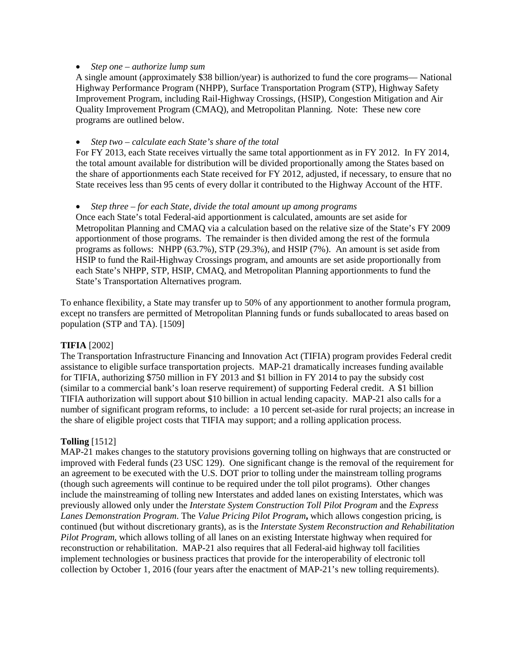• *Step one – authorize lump sum*

A single amount (approximately \$38 billion/year) is authorized to fund the core programs— National Highway Performance Program (NHPP), Surface Transportation Program (STP), Highway Safety Improvement Program, including Rail-Highway Crossings, (HSIP), Congestion Mitigation and Air Quality Improvement Program (CMAQ), and Metropolitan Planning. Note: These new core programs are outlined below.

• *Step two – calculate each State's share of the total*

For FY 2013, each State receives virtually the same total apportionment as in FY 2012. In FY 2014, the total amount available for distribution will be divided proportionally among the States based on the share of apportionments each State received for FY 2012, adjusted, if necessary, to ensure that no State receives less than 95 cents of every dollar it contributed to the Highway Account of the HTF.

• *Step three – for each State, divide the total amount up among programs*

Once each State's total Federal-aid apportionment is calculated, amounts are set aside for Metropolitan Planning and CMAQ via a calculation based on the relative size of the State's FY 2009 apportionment of those programs. The remainder is then divided among the rest of the formula programs as follows: NHPP (63.7%), STP (29.3%), and HSIP (7%). An amount is set aside from HSIP to fund the Rail-Highway Crossings program, and amounts are set aside proportionally from each State's NHPP, STP, HSIP, CMAQ, and Metropolitan Planning apportionments to fund the State's Transportation Alternatives program.

To enhance flexibility, a State may transfer up to 50% of any apportionment to another formula program, except no transfers are permitted of Metropolitan Planning funds or funds suballocated to areas based on population (STP and TA). [1509]

#### **TIFIA** [2002]

The Transportation Infrastructure Financing and Innovation Act (TIFIA) program provides Federal credit assistance to eligible surface transportation projects. MAP-21 dramatically increases funding available for TIFIA, authorizing \$750 million in FY 2013 and \$1 billion in FY 2014 to pay the subsidy cost (similar to a commercial bank's loan reserve requirement) of supporting Federal credit. A \$1 billion TIFIA authorization will support about \$10 billion in actual lending capacity. MAP-21 also calls for a number of significant program reforms, to include: a 10 percent set-aside for rural projects; an increase in the share of eligible project costs that TIFIA may support; and a rolling application process.

#### **Tolling** [1512]

MAP-21 makes changes to the statutory provisions governing tolling on highways that are constructed or improved with Federal funds (23 USC 129). One significant change is the removal of the requirement for an agreement to be executed with the U.S. DOT prior to tolling under the mainstream tolling programs (though such agreements will continue to be required under the toll pilot programs). Other changes include the mainstreaming of tolling new Interstates and added lanes on existing Interstates, which was previously allowed only under the *Interstate System Construction Toll Pilot Program* and the *Express Lanes Demonstration Program*. The *Value Pricing Pilot Program***,** which allows congestion pricing, is continued (but without discretionary grants), as is the *Interstate System Reconstruction and Rehabilitation Pilot Program*, which allows tolling of all lanes on an existing Interstate highway when required for reconstruction or rehabilitation. MAP-21 also requires that all Federal-aid highway toll facilities implement technologies or business practices that provide for the interoperability of electronic toll collection by October 1, 2016 (four years after the enactment of MAP-21's new tolling requirements).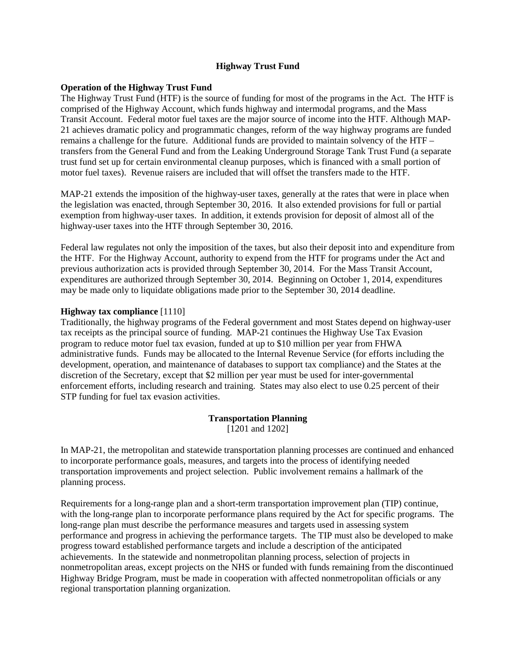#### **Highway Trust Fund**

#### **Operation of the Highway Trust Fund**

The Highway Trust Fund (HTF) is the source of funding for most of the programs in the Act. The HTF is comprised of the Highway Account, which funds highway and intermodal programs, and the Mass Transit Account. Federal motor fuel taxes are the major source of income into the HTF. Although MAP-21 achieves dramatic policy and programmatic changes, reform of the way highway programs are funded remains a challenge for the future. Additional funds are provided to maintain solvency of the HTF – transfers from the General Fund and from the Leaking Underground Storage Tank Trust Fund (a separate trust fund set up for certain environmental cleanup purposes, which is financed with a small portion of motor fuel taxes). Revenue raisers are included that will offset the transfers made to the HTF.

MAP-21 extends the imposition of the highway-user taxes, generally at the rates that were in place when the legislation was enacted, through September 30, 2016.It also extended provisions for full or partial exemption from highway-user taxes. In addition, it extends provision for deposit of almost all of the highway-user taxes into the HTF through September 30, 2016.

Federal law regulates not only the imposition of the taxes, but also their deposit into and expenditure from the HTF. For the Highway Account, authority to expend from the HTF for programs under the Act and previous authorization acts is provided through September 30, 2014. For the Mass Transit Account, expenditures are authorized through September 30, 2014. Beginning on October 1, 2014, expenditures may be made only to liquidate obligations made prior to the September 30, 2014 deadline.

#### **Highway tax compliance** [1110]

Traditionally, the highway programs of the Federal government and most States depend on highway-user tax receipts as the principal source of funding. MAP-21 continues the Highway Use Tax Evasion program to reduce motor fuel tax evasion, funded at up to \$10 million per year from FHWA administrative funds. Funds may be allocated to the Internal Revenue Service (for efforts including the development, operation, and maintenance of databases to support tax compliance) and the States at the discretion of the Secretary, except that \$2 million per year must be used for inter-governmental enforcement efforts, including research and training. States may also elect to use 0.25 percent of their STP funding for fuel tax evasion activities.

#### **Transportation Planning**

[1201 and 1202]

In MAP-21, the metropolitan and statewide transportation planning processes are continued and enhanced to incorporate performance goals, measures, and targets into the process of identifying needed transportation improvements and project selection. Public involvement remains a hallmark of the planning process.

Requirements for a long-range plan and a short-term transportation improvement plan (TIP) continue, with the long-range plan to incorporate performance plans required by the Act for specific programs. The long-range plan must describe the performance measures and targets used in assessing system performance and progress in achieving the performance targets. The TIP must also be developed to make progress toward established performance targets and include a description of the anticipated achievements. In the statewide and nonmetropolitan planning process, selection of projects in nonmetropolitan areas, except projects on the NHS or funded with funds remaining from the discontinued Highway Bridge Program, must be made in cooperation with affected nonmetropolitan officials or any regional transportation planning organization.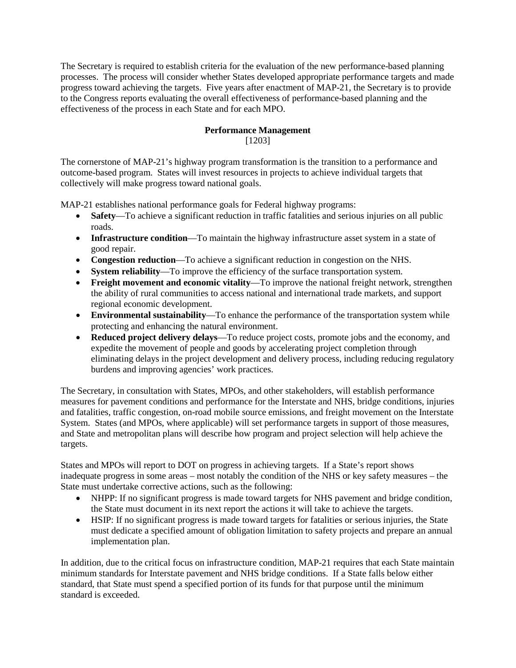The Secretary is required to establish criteria for the evaluation of the new performance-based planning processes. The process will consider whether States developed appropriate performance targets and made progress toward achieving the targets. Five years after enactment of MAP-21, the Secretary is to provide to the Congress reports evaluating the overall effectiveness of performance-based planning and the effectiveness of the process in each State and for each MPO.

## **Performance Management**  [1203]

The cornerstone of MAP-21's highway program transformation is the transition to a performance and outcome-based program. States will invest resources in projects to achieve individual targets that collectively will make progress toward national goals.

MAP-21 establishes national performance goals for Federal highway programs:

- **Safety**—To achieve a significant reduction in traffic fatalities and serious injuries on all public roads.
- **Infrastructure condition**—To maintain the highway infrastructure asset system in a state of good repair.
- **Congestion reduction**—To achieve a significant reduction in congestion on the NHS.
- **System reliability**—To improve the efficiency of the surface transportation system.
- **Freight movement and economic vitality**—To improve the national freight network, strengthen the ability of rural communities to access national and international trade markets, and support regional economic development.
- **Environmental sustainability**—To enhance the performance of the transportation system while protecting and enhancing the natural environment.
- **Reduced project delivery delays**—To reduce project costs, promote jobs and the economy, and expedite the movement of people and goods by accelerating project completion through eliminating delays in the project development and delivery process, including reducing regulatory burdens and improving agencies' work practices.

The Secretary, in consultation with States, MPOs, and other stakeholders, will establish performance measures for pavement conditions and performance for the Interstate and NHS, bridge conditions, injuries and fatalities, traffic congestion, on-road mobile source emissions, and freight movement on the Interstate System. States (and MPOs, where applicable) will set performance targets in support of those measures, and State and metropolitan plans will describe how program and project selection will help achieve the targets.

States and MPOs will report to DOT on progress in achieving targets. If a State's report shows inadequate progress in some areas – most notably the condition of the NHS or key safety measures – the State must undertake corrective actions, such as the following:

- NHPP: If no significant progress is made toward targets for NHS pavement and bridge condition, the State must document in its next report the actions it will take to achieve the targets.
- HSIP: If no significant progress is made toward targets for fatalities or serious injuries, the State must dedicate a specified amount of obligation limitation to safety projects and prepare an annual implementation plan.

In addition, due to the critical focus on infrastructure condition, MAP-21 requires that each State maintain minimum standards for Interstate pavement and NHS bridge conditions. If a State falls below either standard, that State must spend a specified portion of its funds for that purpose until the minimum standard is exceeded.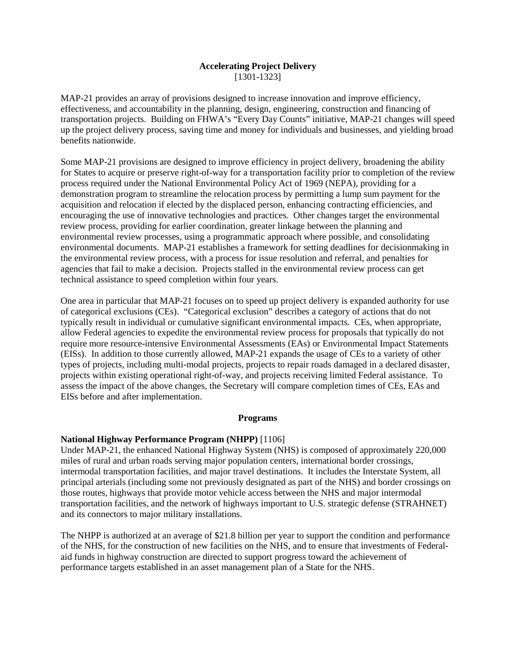#### **Accelerating Project Delivery** [1301-1323]

MAP-21 provides an array of provisions designed to increase innovation and improve efficiency, effectiveness, and accountability in the planning, design, engineering, construction and financing of transportation projects. Building on FHWA's "Every Day Counts" initiative, MAP-21 changes will speed up the project delivery process, saving time and money for individuals and businesses, and yielding broad benefits nationwide.

Some MAP-21 provisions are designed to improve efficiency in project delivery, broadening the ability for States to acquire or preserve right-of-way for a transportation facility prior to completion of the review process required under the National Environmental Policy Act of 1969 (NEPA), providing for a demonstration program to streamline the relocation process by permitting a lump sum payment for the acquisition and relocation if elected by the displaced person, enhancing contracting efficiencies, and encouraging the use of innovative technologies and practices. Other changes target the environmental review process, providing for earlier coordination, greater linkage between the planning and environmental review processes, using a programmatic approach where possible, and consolidating environmental documents. MAP-21 establishes a framework for setting deadlines for decisionmaking in the environmental review process, with a process for issue resolution and referral, and penalties for agencies that fail to make a decision. Projects stalled in the environmental review process can get technical assistance to speed completion within four years.

One area in particular that MAP-21 focuses on to speed up project delivery is expanded authority for use of categorical exclusions (CEs). "Categorical exclusion" describes a category of actions that do not typically result in individual or cumulative significant environmental impacts. CEs, when appropriate, allow Federal agencies to expedite the environmental review process for proposals that typically do not require more resource-intensive Environmental Assessments (EAs) or Environmental Impact Statements (EISs). In addition to those currently allowed, MAP-21 expands the usage of CEs to a variety of other types of projects, including multi-modal projects, projects to repair roads damaged in a declared disaster, projects within existing operational right-of-way, and projects receiving limited Federal assistance. To assess the impact of the above changes, the Secretary will compare completion times of CEs, EAs and EISs before and after implementation.

#### **Programs**

## **National Highway Performance Program (NHPP)** [1106]

Under MAP-21, the enhanced National Highway System (NHS) is composed of approximately 220,000 miles of rural and urban roads serving major population centers, international border crossings, intermodal transportation facilities, and major travel destinations. It includes the Interstate System, all principal arterials (including some not previously designated as part of the NHS) and border crossings on those routes, highways that provide motor vehicle access between the NHS and major intermodal transportation facilities, and the network of highways important to U.S. strategic defense (STRAHNET) and its connectors to major military installations.

The NHPP is authorized at an average of \$21.8 billion per year to support the condition and performance of the NHS, for the construction of new facilities on the NHS, and to ensure that investments of Federalaid funds in highway construction are directed to support progress toward the achievement of performance targets established in an asset management plan of a State for the NHS.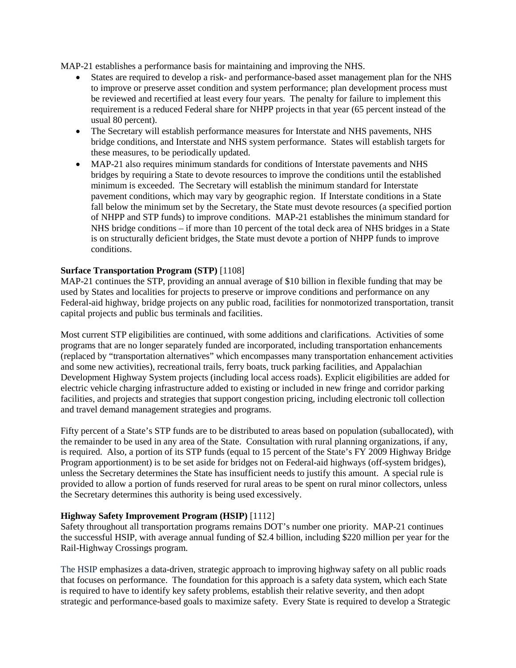MAP-21 establishes a performance basis for maintaining and improving the NHS.

- States are required to develop a risk- and performance-based asset management plan for the NHS to improve or preserve asset condition and system performance; plan development process must be reviewed and recertified at least every four years. The penalty for failure to implement this requirement is a reduced Federal share for NHPP projects in that year (65 percent instead of the usual 80 percent).
- The Secretary will establish performance measures for Interstate and NHS pavements, NHS bridge conditions, and Interstate and NHS system performance. States will establish targets for these measures, to be periodically updated.
- MAP-21 also requires minimum standards for conditions of Interstate pavements and NHS bridges by requiring a State to devote resources to improve the conditions until the established minimum is exceeded. The Secretary will establish the minimum standard for Interstate pavement conditions, which may vary by geographic region. If Interstate conditions in a State fall below the minimum set by the Secretary, the State must devote resources (a specified portion of NHPP and STP funds) to improve conditions. MAP-21 establishes the minimum standard for NHS bridge conditions – if more than 10 percent of the total deck area of NHS bridges in a State is on structurally deficient bridges, the State must devote a portion of NHPP funds to improve conditions.

#### **Surface Transportation Program (STP)** [1108]

MAP-21 continues the STP, providing an annual average of \$10 billion in flexible funding that may be used by States and localities for projects to preserve or improve conditions and performance on any Federal-aid highway, bridge projects on any public road, facilities for nonmotorized transportation, transit capital projects and public bus terminals and facilities.

Most current STP eligibilities are continued, with some additions and clarifications. Activities of some programs that are no longer separately funded are incorporated, including transportation enhancements (replaced by "transportation alternatives" which encompasses many transportation enhancement activities and some new activities), recreational trails, ferry boats, truck parking facilities, and Appalachian Development Highway System projects (including local access roads). Explicit eligibilities are added for electric vehicle charging infrastructure added to existing or included in new fringe and corridor parking facilities, and projects and strategies that support congestion pricing, including electronic toll collection and travel demand management strategies and programs.

Fifty percent of a State's STP funds are to be distributed to areas based on population (suballocated), with the remainder to be used in any area of the State. Consultation with rural planning organizations, if any, is required. Also, a portion of its STP funds (equal to 15 percent of the State's FY 2009 Highway Bridge Program apportionment) is to be set aside for bridges not on Federal-aid highways (off-system bridges), unless the Secretary determines the State has insufficient needs to justify this amount. A special rule is provided to allow a portion of funds reserved for rural areas to be spent on rural minor collectors, unless the Secretary determines this authority is being used excessively.

#### **Highway Safety Improvement Program (HSIP)** [1112]

Safety throughout all transportation programs remains DOT's number one priority. MAP-21 continues the successful HSIP, with average annual funding of \$2.4 billion, including \$220 million per year for the Rail-Highway Crossings program.

The HSIP emphasizes a data-driven, strategic approach to improving highway safety on all public roads that focuses on performance. The foundation for this approach is a safety data system, which each State is required to have to identify key safety problems, establish their relative severity, and then adopt strategic and performance-based goals to maximize safety. Every State is required to develop a Strategic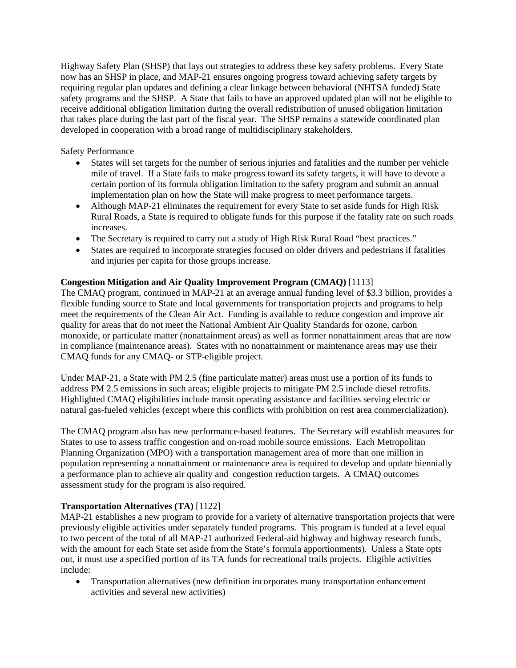Highway Safety Plan (SHSP) that lays out strategies to address these key safety problems. Every State now has an SHSP in place, and MAP-21 ensures ongoing progress toward achieving safety targets by requiring regular plan updates and defining a clear linkage between behavioral (NHTSA funded) State safety programs and the SHSP. A State that fails to have an approved updated plan will not be eligible to receive additional obligation limitation during the overall redistribution of unused obligation limitation that takes place during the last part of the fiscal year. The SHSP remains a statewide coordinated plan developed in cooperation with a broad range of multidisciplinary stakeholders.

Safety Performance

- States will set targets for the number of serious injuries and fatalities and the number per vehicle mile of travel. If a State fails to make progress toward its safety targets, it will have to devote a certain portion of its formula obligation limitation to the safety program and submit an annual implementation plan on how the State will make progress to meet performance targets.
- Although MAP-21 eliminates the requirement for every State to set aside funds for High Risk Rural Roads, a State is required to obligate funds for this purpose if the fatality rate on such roads increases.
- The Secretary is required to carry out a study of High Risk Rural Road "best practices."
- States are required to incorporate strategies focused on older drivers and pedestrians if fatalities and injuries per capita for those groups increase.

## **Congestion Mitigation and Air Quality Improvement Program (CMAQ)** [1113]

The CMAQ program, continued in MAP-21 at an average annual funding level of \$3.3 billion, provides a flexible funding source to State and local governments for transportation projects and programs to help meet the requirements of the Clean Air Act. Funding is available to reduce congestion and improve air quality for areas that do not meet the National Ambient Air Quality Standards for ozone, carbon monoxide, or particulate matter (nonattainment areas) as well as former nonattainment areas that are now in compliance (maintenance areas). States with no nonattainment or maintenance areas may use their CMAQ funds for any CMAQ- or STP-eligible project.

Under MAP-21, a State with PM 2.5 (fine particulate matter) areas must use a portion of its funds to address PM 2.5 emissions in such areas; eligible projects to mitigate PM 2.5 include diesel retrofits. Highlighted CMAQ eligibilities include transit operating assistance and facilities serving electric or natural gas-fueled vehicles (except where this conflicts with prohibition on rest area commercialization).

The CMAQ program also has new performance-based features. The Secretary will establish measures for States to use to assess traffic congestion and on-road mobile source emissions. Each Metropolitan Planning Organization (MPO) with a transportation management area of more than one million in population representing a nonattainment or maintenance area is required to develop and update biennially a performance plan to achieve air quality and congestion reduction targets. A CMAQ outcomes assessment study for the program is also required.

#### **Transportation Alternatives (TA)** [1122]

MAP-21 establishes a new program to provide for a variety of alternative transportation projects that were previously eligible activities under separately funded programs. This program is funded at a level equal to two percent of the total of all MAP-21 authorized Federal-aid highway and highway research funds, with the amount for each State set aside from the State's formula apportionments). Unless a State opts out, it must use a specified portion of its TA funds for recreational trails projects. Eligible activities include:

• Transportation alternatives (new definition incorporates many transportation enhancement activities and several new activities)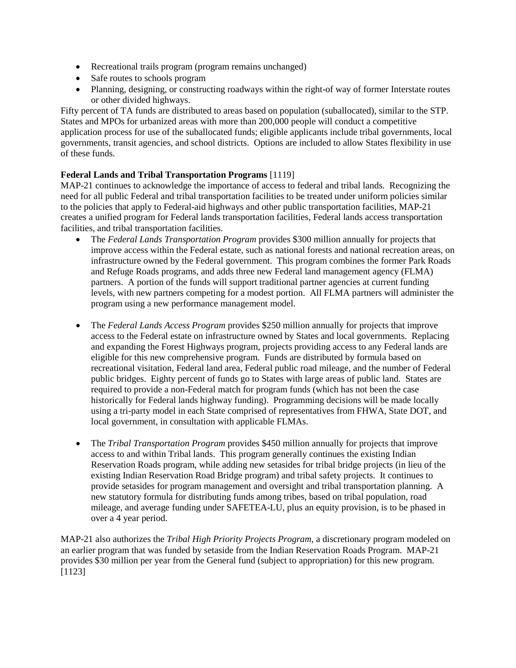- Recreational trails program (program remains unchanged)
- Safe routes to schools program
- Planning, designing, or constructing roadways within the right-of way of former Interstate routes or other divided highways.

Fifty percent of TA funds are distributed to areas based on population (suballocated), similar to the STP. States and MPOs for urbanized areas with more than 200,000 people will conduct a competitive application process for use of the suballocated funds; eligible applicants include tribal governments, local governments, transit agencies, and school districts. Options are included to allow States flexibility in use of these funds.

## **Federal Lands and Tribal Transportation Programs** [1119]

MAP-21 continues to acknowledge the importance of access to federal and tribal lands. Recognizing the need for all public Federal and tribal transportation facilities to be treated under uniform policies similar to the policies that apply to Federal-aid highways and other public transportation facilities, MAP-21 creates a unified program for Federal lands transportation facilities, Federal lands access transportation facilities, and tribal transportation facilities.

- The *Federal Lands Transportation Program* provides \$300 million annually for projects that improve access within the Federal estate, such as national forests and national recreation areas, on infrastructure owned by the Federal government. This program combines the former Park Roads and Refuge Roads programs, and adds three new Federal land management agency (FLMA) partners. A portion of the funds will support traditional partner agencies at current funding levels, with new partners competing for a modest portion. All FLMA partners will administer the program using a new performance management model.
- The *Federal Lands Access Program* provides \$250 million annually for projects that improve access to the Federal estate on infrastructure owned by States and local governments. Replacing and expanding the Forest Highways program, projects providing access to any Federal lands are eligible for this new comprehensive program. Funds are distributed by formula based on recreational visitation, Federal land area, Federal public road mileage, and the number of Federal public bridges. Eighty percent of funds go to States with large areas of public land. States are required to provide a non-Federal match for program funds (which has not been the case historically for Federal lands highway funding). Programming decisions will be made locally using a tri-party model in each State comprised of representatives from FHWA, State DOT, and local government, in consultation with applicable FLMAs.
- The *Tribal Transportation Program* provides \$450 million annually for projects that improve access to and within Tribal lands. This program generally continues the existing Indian Reservation Roads program, while adding new setasides for tribal bridge projects (in lieu of the existing Indian Reservation Road Bridge program) and tribal safety projects. It continues to provide setasides for program management and oversight and tribal transportation planning. A new statutory formula for distributing funds among tribes, based on tribal population, road mileage, and average funding under SAFETEA-LU, plus an equity provision, is to be phased in over a 4 year period.

MAP-21 also authorizes the *Tribal High Priority Projects Program*, a discretionary program modeled on an earlier program that was funded by setaside from the Indian Reservation Roads Program. MAP-21 provides \$30 million per year from the General fund (subject to appropriation) for this new program. [1123]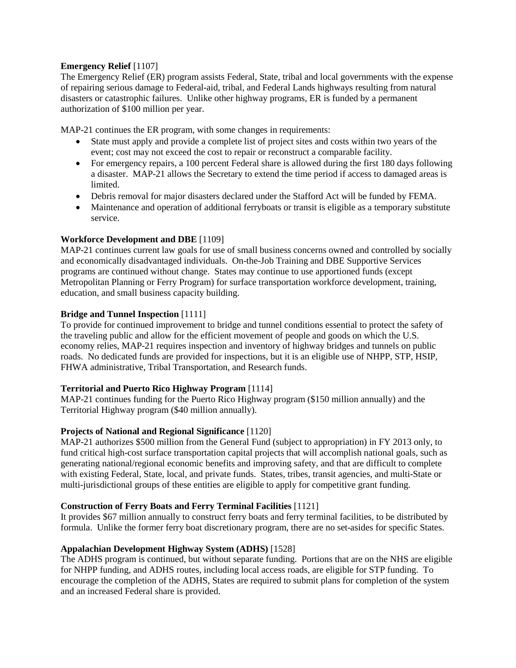## **Emergency Relief** [1107]

The Emergency Relief (ER) program assists Federal, State, tribal and local governments with the expense of repairing serious damage to Federal-aid, tribal, and Federal Lands highways resulting from natural disasters or catastrophic failures. Unlike other highway programs, ER is funded by a permanent authorization of \$100 million per year.

MAP-21 continues the ER program, with some changes in requirements:

- State must apply and provide a complete list of project sites and costs within two years of the event; cost may not exceed the cost to repair or reconstruct a comparable facility.
- For emergency repairs, a 100 percent Federal share is allowed during the first 180 days following a disaster. MAP-21 allows the Secretary to extend the time period if access to damaged areas is limited.
- Debris removal for major disasters declared under the Stafford Act will be funded by FEMA.
- Maintenance and operation of additional ferryboats or transit is eligible as a temporary substitute service.

## **Workforce Development and DBE** [1109]

MAP-21 continues current law goals for use of small business concerns owned and controlled by socially and economically disadvantaged individuals. On-the-Job Training and DBE Supportive Services programs are continued without change. States may continue to use apportioned funds (except Metropolitan Planning or Ferry Program) for surface transportation workforce development, training, education, and small business capacity building.

## **Bridge and Tunnel Inspection** [1111]

To provide for continued improvement to bridge and tunnel conditions essential to protect the safety of the traveling public and allow for the efficient movement of people and goods on which the U.S. economy relies, MAP-21 requires inspection and inventory of highway bridges and tunnels on public roads. No dedicated funds are provided for inspections, but it is an eligible use of NHPP, STP, HSIP, FHWA administrative, Tribal Transportation, and Research funds.

#### **Territorial and Puerto Rico Highway Program** [1114]

MAP-21 continues funding for the Puerto Rico Highway program (\$150 million annually) and the Territorial Highway program (\$40 million annually).

## **Projects of National and Regional Significance** [1120]

MAP-21 authorizes \$500 million from the General Fund (subject to appropriation) in FY 2013 only, to fund critical high-cost surface transportation capital projects that will accomplish national goals, such as generating national/regional economic benefits and improving safety, and that are difficult to complete with existing Federal, State, local, and private funds. States, tribes, transit agencies, and multi-State or multi-jurisdictional groups of these entities are eligible to apply for competitive grant funding.

## **Construction of Ferry Boats and Ferry Terminal Facilities** [1121]

It provides \$67 million annually to construct ferry boats and ferry terminal facilities, to be distributed by formula. Unlike the former ferry boat discretionary program, there are no set-asides for specific States.

#### **Appalachian Development Highway System (ADHS)** [1528]

The ADHS program is continued, but without separate funding. Portions that are on the NHS are eligible for NHPP funding, and ADHS routes, including local access roads, are eligible for STP funding. To encourage the completion of the ADHS, States are required to submit plans for completion of the system and an increased Federal share is provided.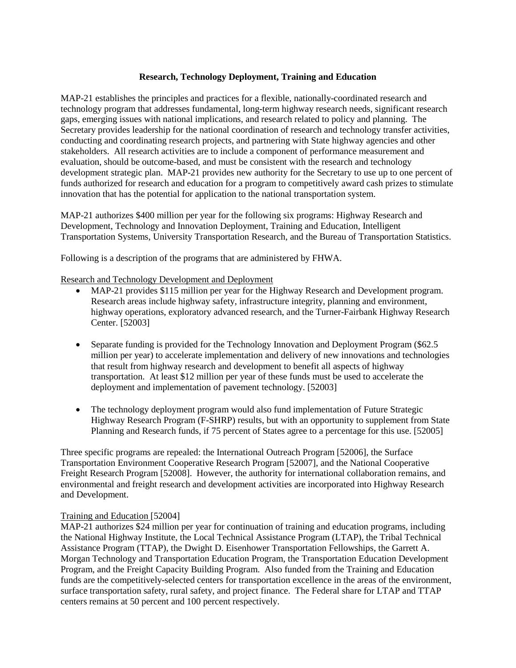## **Research, Technology Deployment, Training and Education**

MAP-21 establishes the principles and practices for a flexible, nationally-coordinated research and technology program that addresses fundamental, long-term highway research needs, significant research gaps, emerging issues with national implications, and research related to policy and planning. The Secretary provides leadership for the national coordination of research and technology transfer activities, conducting and coordinating research projects, and partnering with State highway agencies and other stakeholders. All research activities are to include a component of performance measurement and evaluation, should be outcome-based, and must be consistent with the research and technology development strategic plan. MAP-21 provides new authority for the Secretary to use up to one percent of funds authorized for research and education for a program to competitively award cash prizes to stimulate innovation that has the potential for application to the national transportation system.

MAP-21 authorizes \$400 million per year for the following six programs: Highway Research and Development, Technology and Innovation Deployment, Training and Education, Intelligent Transportation Systems, University Transportation Research, and the Bureau of Transportation Statistics.

Following is a description of the programs that are administered by FHWA.

#### Research and Technology Development and Deployment

- MAP-21 provides \$115 million per year for the Highway Research and Development program. Research areas include highway safety, infrastructure integrity, planning and environment, highway operations, exploratory advanced research, and the Turner-Fairbank Highway Research Center. [52003]
- Separate funding is provided for the Technology Innovation and Deployment Program (\$62.5 million per year) to accelerate implementation and delivery of new innovations and technologies that result from highway research and development to benefit all aspects of highway transportation. At least \$12 million per year of these funds must be used to accelerate the deployment and implementation of pavement technology. [52003]
- The technology deployment program would also fund implementation of Future Strategic Highway Research Program (F-SHRP) results, but with an opportunity to supplement from State Planning and Research funds, if 75 percent of States agree to a percentage for this use. [52005]

Three specific programs are repealed: the International Outreach Program [52006], the Surface Transportation Environment Cooperative Research Program [52007], and the National Cooperative Freight Research Program [52008]. However, the authority for international collaboration remains, and environmental and freight research and development activities are incorporated into Highway Research and Development.

#### Training and Education [52004]

MAP-21 authorizes \$24 million per year for continuation of training and education programs, including the National Highway Institute, the Local Technical Assistance Program (LTAP), the Tribal Technical Assistance Program (TTAP), the Dwight D. Eisenhower Transportation Fellowships, the Garrett A. Morgan Technology and Transportation Education Program, the Transportation Education Development Program, and the Freight Capacity Building Program. Also funded from the Training and Education funds are the competitively-selected centers for transportation excellence in the areas of the environment, surface transportation safety, rural safety, and project finance. The Federal share for LTAP and TTAP centers remains at 50 percent and 100 percent respectively.